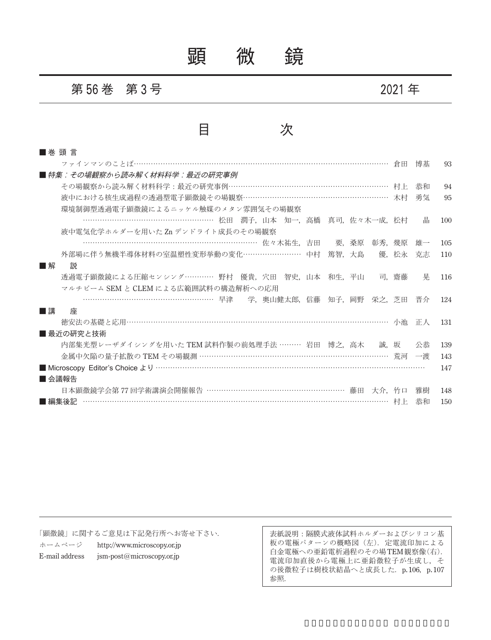顕 微 鏡

#### 第 **56** 巻 第 **3** 号 **2021** 年

### 目 次

| ■巻頭言                                                   |       |    |     |
|--------------------------------------------------------|-------|----|-----|
| ファインマンのことば……………………………………………………………………………………………          | 倉田    | 博基 | 93  |
| ■ 特集:その場観察から読み解く材料科学:最近の研究事例                           |       |    |     |
| その場観察から読み解く材料科学:最近の研究事例 ……………………………………………………… 村上       |       | 恭和 | 94  |
| 液中における核生成過程の透過型電子顕微鏡その場観察………………………………………………… 木村        |       | 勇気 | 95  |
| 環境制御型透過電子顕微鏡によるニッケル触媒のメタン雰囲気その場観察                      |       |    |     |
| …………………………………………………… 松田 潤子.山本 知一.高橋 真司.佐々木一成.松村        |       | 晶  | 100 |
| 液中電気化学ホルダーを用いた Zn デンドライト成長のその場観察                       |       |    |     |
| …………………………………………………………………………… 佐々木祐生, 吉田 要, 桑原<br>彰秀.   | 幾原    | 雄一 | 105 |
| 外部場に伴う無機半導体材料の室温塑性変形挙動の変化……………………… 中村 篤智,大島            | 優. 松永 | 克志 | 110 |
| ■解<br>説                                                |       |    |     |
| 透過電子顕微鏡による圧縮センシング………… 野村 優貴, 穴田 智史, 山本 和生, 平山          | 司,齋藤  | 晃  | 116 |
| マルチビーム SEM と CLEM による広範囲試料の構造解析への応用                    |       |    |     |
| ………………………………………………… 早津 学, 奥山健太郎, 信藤 知子, 岡野 栄之, 芝田 晋介   |       |    | 124 |
| ■講<br>座                                                |       |    |     |
|                                                        |       | 正人 | 131 |
| ■ 最近の研究と技術                                             |       |    |     |
| 内部集光型レーザダイシングを用いた TEM 試料作製の前処理手法 ……… 岩田 博之.高木  誠.坂     |       | 公恭 | 139 |
| 金属中欠陥の量子拡散の TEM その場観測 ………………………………………………………………………… 荒河  |       | 一渡 | 143 |
|                                                        |       |    | 147 |
| ■ 会議報告                                                 |       |    |     |
| 日本顕微鏡学会第 77 回学術講演会開催報告 ………………………………………………… 藤田<br>大介.竹口 |       | 雅樹 | 148 |
| ■編集後記                                                  |       | 恭和 | 150 |

「顕微鏡」に関するご意見は下記発行所へお寄せ下さい.

ホームページ http://www.microscopy.or.jp E-mail address jsm-post@microscopy.or.jp

表紙説明:隔膜式液体試料ホルダーおよびシリコン基 板の電極パターンの概略図(左). 定電流印加による 白金電極への亜鉛電析過程のその場TEM観察像(右). 電流印加直後から電極上に亜鉛微粒子が生成し,そ の後微粒子は樹枝状結晶へと成長した. p. 106, p. 107 参照.